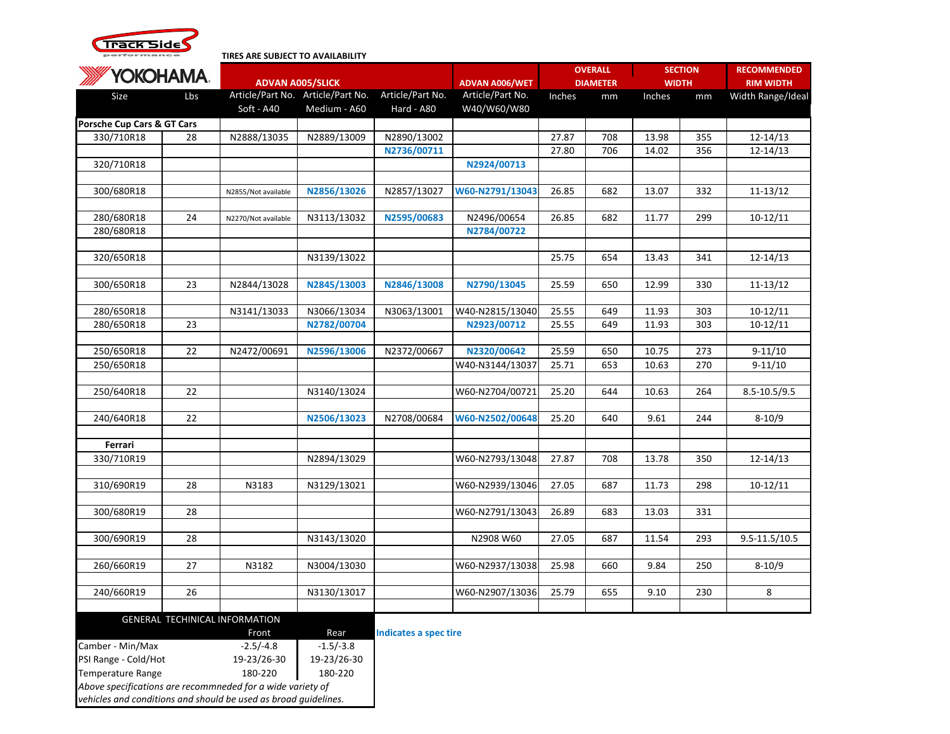

## **TIRES ARE SUBJECT TO AVAILABILITY**

| <b>YOKOHAMA.</b>           |    | <b>ADVAN A005/SLICK</b>        |              |                              | <b>ADVAN A006/WET</b> | <b>OVERALL</b><br><b>DIAMETER</b> |     | <b>SECTION</b><br><b>WIDTH</b> |     | <b>RECOMMENDED</b><br><b>RIM WIDTH</b> |
|----------------------------|----|--------------------------------|--------------|------------------------------|-----------------------|-----------------------------------|-----|--------------------------------|-----|----------------------------------------|
|                            |    |                                |              |                              |                       |                                   |     |                                |     |                                        |
|                            |    | Soft - A40                     | Medium - A60 | Hard - A80                   | W40/W60/W80           |                                   |     |                                |     |                                        |
| Porsche Cup Cars & GT Cars |    |                                |              |                              |                       |                                   |     |                                |     |                                        |
| 330/710R18                 | 28 | N2888/13035                    | N2889/13009  | N2890/13002                  |                       | 27.87                             | 708 | 13.98                          | 355 | $12 - 14/13$                           |
|                            |    |                                |              | N2736/00711                  |                       | 27.80                             | 706 | 14.02                          | 356 | $12 - 14/13$                           |
| 320/710R18                 |    |                                |              |                              | N2924/00713           |                                   |     |                                |     |                                        |
| 300/680R18                 |    | N2855/Not available            | N2856/13026  | N2857/13027                  | W60-N2791/13043       | 26.85                             | 682 | 13.07                          | 332 | 11-13/12                               |
|                            |    |                                |              |                              |                       |                                   |     |                                |     |                                        |
| 280/680R18                 | 24 | N2270/Not available            | N3113/13032  | N2595/00683                  | N2496/00654           | 26.85                             | 682 | 11.77                          | 299 | $10-12/11$                             |
| 280/680R18                 |    |                                |              |                              | N2784/00722           |                                   |     |                                |     |                                        |
|                            |    |                                |              |                              |                       |                                   |     |                                |     |                                        |
| 320/650R18                 |    |                                | N3139/13022  |                              |                       | 25.75                             | 654 | 13.43                          | 341 | $12 - 14/13$                           |
|                            |    |                                |              |                              |                       |                                   |     |                                |     |                                        |
| 300/650R18                 | 23 | N2844/13028                    | N2845/13003  | N2846/13008                  | N2790/13045           | 25.59                             | 650 | 12.99                          | 330 | $11 - 13/12$                           |
| 280/650R18                 |    | N3141/13033                    | N3066/13034  | N3063/13001                  | W40-N2815/13040       | 25.55                             | 649 | 11.93                          | 303 | $10-12/11$                             |
| 280/650R18                 | 23 |                                | N2782/00704  |                              | N2923/00712           | 25.55                             | 649 | 11.93                          | 303 | $10-12/11$                             |
|                            |    |                                |              |                              |                       |                                   |     |                                |     |                                        |
| 250/650R18                 | 22 | N2472/00691                    | N2596/13006  | N2372/00667                  | N2320/00642           | 25.59                             | 650 | 10.75                          | 273 | $9 - 11/10$                            |
| 250/650R18                 |    |                                |              |                              | W40-N3144/13037       | 25.71                             | 653 | 10.63                          | 270 | $9-11/10$                              |
|                            |    |                                |              |                              |                       |                                   |     |                                |     |                                        |
| 250/640R18                 | 22 |                                | N3140/13024  |                              | W60-N2704/00721       | 25.20                             | 644 | 10.63                          | 264 | 8.5-10.5/9.5                           |
|                            |    |                                |              |                              |                       |                                   |     |                                |     |                                        |
| 240/640R18                 | 22 |                                | N2506/13023  | N2708/00684                  | W60-N2502/00648       | 25.20                             | 640 | 9.61                           | 244 | $8-10/9$                               |
| Ferrari                    |    |                                |              |                              |                       |                                   |     |                                |     |                                        |
| 330/710R19                 |    |                                | N2894/13029  |                              | W60-N2793/13048       | 27.87                             | 708 | 13.78                          | 350 | $12 - 14/13$                           |
|                            |    |                                |              |                              |                       |                                   |     |                                |     |                                        |
| 310/690R19                 | 28 | N3183                          | N3129/13021  |                              | W60-N2939/13046       | 27.05                             | 687 | 11.73                          | 298 | $10-12/11$                             |
|                            |    |                                |              |                              |                       |                                   |     |                                |     |                                        |
| 300/680R19                 | 28 |                                |              |                              | W60-N2791/13043       | 26.89                             | 683 | 13.03                          | 331 |                                        |
|                            |    |                                |              |                              |                       |                                   |     |                                |     |                                        |
| 300/690R19                 | 28 |                                | N3143/13020  |                              | N2908 W60             | 27.05                             | 687 | 11.54                          | 293 | 9.5-11.5/10.5                          |
|                            |    |                                |              |                              |                       |                                   |     |                                |     |                                        |
| 260/660R19                 | 27 | N3182                          | N3004/13030  |                              | W60-N2937/13038       | 25.98                             | 660 | 9.84                           | 250 | $8 - 10/9$                             |
| 240/660R19                 | 26 |                                | N3130/13017  |                              | W60-N2907/13036       | 25.79                             | 655 | 9.10                           | 230 | 8                                      |
|                            |    |                                |              |                              |                       |                                   |     |                                |     |                                        |
|                            |    | GENERAL TECHINICAL INFORMATION |              |                              |                       |                                   |     |                                |     |                                        |
|                            |    | Front                          | Rear         | <b>Indicates a spec tire</b> |                       |                                   |     |                                |     |                                        |
| Camber - Min/Max           |    | $-2.5/-4.8$                    | $-1.5/-3.8$  |                              |                       |                                   |     |                                |     |                                        |
| PSI Range - Cold/Hot       |    | 19-23/26-30                    | 19-23/26-30  |                              |                       |                                   |     |                                |     |                                        |
| <b>Temperature Range</b>   |    | 180-220                        | 180-220      |                              |                       |                                   |     |                                |     |                                        |

*Above specifications are recommneded for a wide variety of* 

*vehicles and conditions and should be used as broad guidelines.*